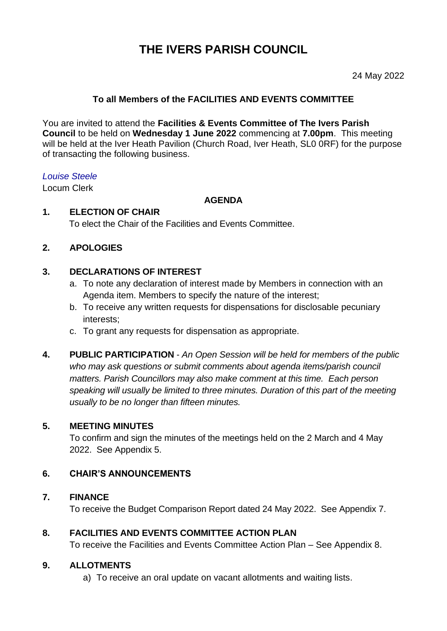# **THE IVERS PARISH COUNCIL**

#### 24 May 2022

## **To all Members of the FACILITIES AND EVENTS COMMITTEE**

You are invited to attend the **Facilities & Events Committee of The Ivers Parish Council** to be held on **Wednesday 1 June 2022** commencing at **7.00pm**. This meeting will be held at the Iver Heath Pavilion (Church Road, Iver Heath, SL0 0RF) for the purpose of transacting the following business.

#### *Louise Steele*

Locum Clerk

#### **AGENDA**

## **1. ELECTION OF CHAIR**

To elect the Chair of the Facilities and Events Committee.

## **2. APOLOGIES**

### **3. DECLARATIONS OF INTEREST**

- a. To note any declaration of interest made by Members in connection with an Agenda item. Members to specify the nature of the interest;
- b. To receive any written requests for dispensations for disclosable pecuniary interests;
- c. To grant any requests for dispensation as appropriate.
- **4. PUBLIC PARTICIPATION**  *An Open Session will be held for members of the public who may ask questions or submit comments about agenda items/parish council matters. Parish Councillors may also make comment at this time. Each person speaking will usually be limited to three minutes. Duration of this part of the meeting usually to be no longer than fifteen minutes.*

#### **5. MEETING MINUTES**

To confirm and sign the minutes of the meetings held on the 2 March and 4 May 2022. See Appendix 5.

#### **6. CHAIR'S ANNOUNCEMENTS**

#### **7. FINANCE**

To receive the Budget Comparison Report dated 24 May 2022. See Appendix 7.

#### **8. FACILITIES AND EVENTS COMMITTEE ACTION PLAN**

To receive the Facilities and Events Committee Action Plan – See Appendix 8.

#### **9. ALLOTMENTS**

a) To receive an oral update on vacant allotments and waiting lists.